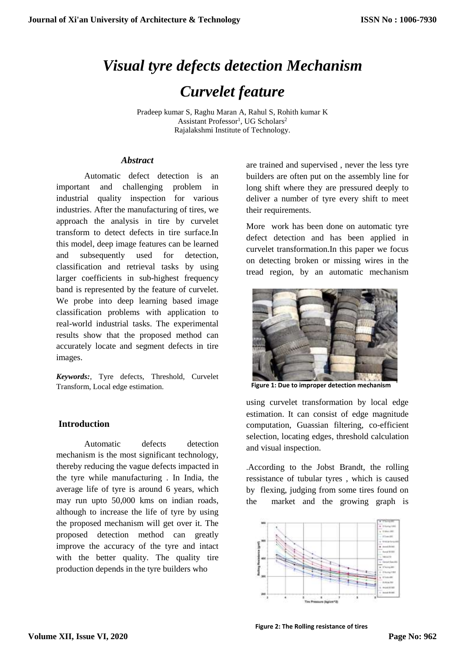# *Visual tyre defects detection Mechanism Curvelet feature*

Pradeep kumar S, Raghu Maran A, Rahul S, Rohith kumar K Assistant Professor<sup>1</sup>, UG Scholars<sup>2</sup> Rajalakshmi Institute of Technology.

## *Abstract*

Automatic defect detection is an important and challenging problem in industrial quality inspection for various industries. After the manufacturing of tires, we approach the analysis in tire by curvelet transform to detect defects in tire surface.In this model, deep image features can be learned and subsequently used for detection, classification and retrieval tasks by using larger coefficients in sub-highest frequency band is represented by the feature of curvelet. We probe into deep learning based image classification problems with application to real-world industrial tasks. The experimental results show that the proposed method can accurately locate and segment defects in tire images.

*Keywords:*, Tyre defects, Threshold, Curvelet Transform, Local edge estimation.

# **Introduction**

Automatic defects detection mechanism is the most significant technology, thereby reducing the vague defects impacted in the tyre while manufacturing . In India, the average life of tyre is around 6 years, which may run upto 50,000 kms on indian roads, although to increase the life of tyre by using the proposed mechanism will get over it. The proposed detection method can greatly improve the accuracy of the tyre and intact with the better quality. The quality tire production depends in the tyre builders who

are trained and supervised , never the less tyre builders are often put on the assembly line for long shift where they are pressured deeply to deliver a number of tyre every shift to meet their requirements.

More work has been done on automatic tyre defect detection and has been applied in curvelet transformation.In this paper we focus on detecting broken or missing wires in the tread region, by an automatic mechanism



**Figure 1: Due to improper detection mechanism**

using curvelet transformation by local edge estimation. It can consist of edge magnitude computation, Guassian filtering, co-efficient selection, locating edges, threshold calculation and visual inspection.

.According to the Jobst Brandt, the rolling ressistance of tubular tyres , which is caused by flexing, judging from some tires found on the market and the growing graph is



**Figure 2: The Rolling resistance of tires**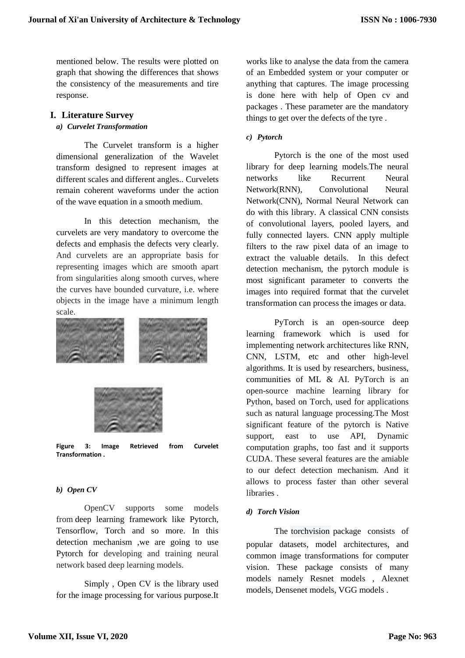mentioned below. The results were plotted on graph that showing the differences that shows the consistency of the measurements and tire response.

# **I. Literature Survey**

#### *a) Curvelet Transformation*

The Curvelet transform is a higher dimensional generalization of the Wavelet transform designed to represent images at different scales and different angles.. Curvelets remain coherent waveforms under the action of the wave equation in a smooth medium.

In this detection mechanism, the curvelets are very mandatory to overcome the defects and emphasis the defects very clearly. And curvelets are an appropriate basis for representing images which are smooth apart from singularities along smooth curves, where the curves have bounded curvature, i.e. where objects in the image have a minimum length scale.



**Figure 3: Image Retrieved from Curvelet Transformation .**

# *b) Open CV*

OpenCV supports some models from deep learning framework like Pytorch, Tensorflow, Torch and so more. In this detection mechanism ,we are going to use Pytorch for developing and training neural network based deep learning models.

Simply , Open CV is the library used for the image processing for various purpose.It

works like to analyse the data from the camera of an Embedded system or your computer or anything that captures. The image processing is done here with help of Open cv and packages . These parameter are the mandatory things to get over the defects of the tyre .

# *c) Pytorch*

Pytorch is the one of the most used library for deep learning models.The neural networks like Recurrent Neural Network(RNN), Convolutional Neural Network(CNN), Normal Neural Network can do with this library. A classical CNN consists of convolutional layers, pooled layers, and fully connected layers. CNN apply multiple filters to the raw pixel data of an image to extract the valuable details. In this defect detection mechanism, the pytorch module is most significant parameter to converts the images into required format that the curvelet transformation can process the images or data.

PyTorch is an open-source deep learning framework which is used for implementing network architectures like RNN, CNN, LSTM, etc and other high-level algorithms. It is used by researchers, business, communities of ML & AI. PyTorch is an open-source machine learning library for Python, based on Torch, used for applications such as natural language processing.The Most significant feature of the pytorch is Native support, east to use API, Dynamic computation graphs, too fast and it supports CUDA. These several features are the amiable to our defect detection mechanism. And it allows to process faster than other several **libraries** 

# *d) Torch Vision*

The [torchvision](https://pytorch.org/docs/stable/torchvision/index.html#module-torchvision) package consists of popular datasets, model architectures, and common image transformations for computer vision. These package consists of many models namely Resnet models , Alexnet models, Densenet models, VGG models .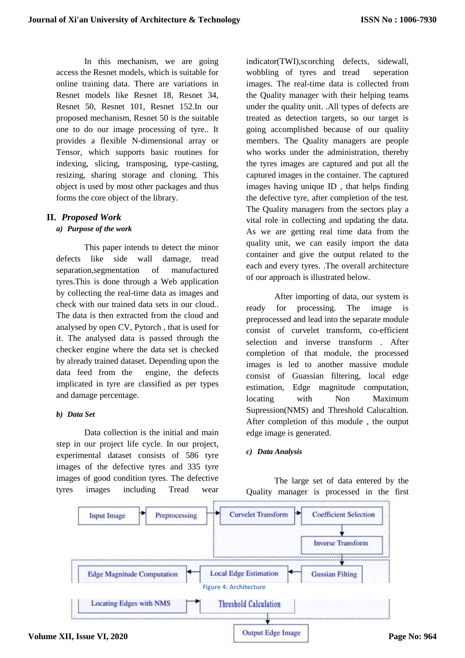In this mechanism, we are going access the Resnet models, which is suitable for online training data. There are variations in Resnet models like Resnet 18, Resnet 34, Resnet 50, Resnet 101, Resnet 152.In our proposed mechanism, Resnet 50 is the suitable one to do our image processing of tyre.. It provides a flexible N-dimensional array or Tensor, which supports basic routines for indexing, slicing, transposing, type-casting, resizing, sharing storage and cloning. This object is used by most other packages and thus forms the core object of the library.

# **II.** *Proposed Work*

## *a) Purpose of the work*

This paper intends to detect the minor defects like side wall damage, tread separation,segmentation of manufactured tyres.This is done through a Web application by collecting the real-time data as images and check with our trained data sets in our cloud.. The data is then extracted from the cloud and analysed by open CV, Pytorch , that is used for it. The analysed data is passed through the checker engine where the data set is checked by already trained dataset. Depending upon the data feed from the engine, the defects implicated in tyre are classified as per types and damage percentage.

#### *b) Data Set*

Data collection is the initial and main step in our project life cycle. In our project, experimental dataset consists of 586 tyre images of the defective tyres and 335 tyre images of good condition tyres. The defective tyres images including Tread wear

indicator(TWI),scorching defects, sidewall, wobbling of tyres and tread seperation images. The real-time data is collected from the Quality manager with their helping teams under the quality unit. .All types of defects are treated as detection targets, so our target is going accomplished because of our quality members. The Quality managers are people who works under the administration, thereby the tyres images are captured and put all the captured images in the container. The captured images having unique ID , that helps finding the defective tyre, after completion of the test. The Quality managers from the sectors play a vital role in collecting and updating the data. As we are getting real time data from the quality unit, we can easily import the data container and give the output related to the each and every tyres. .The overall architecture of our approach is illustrated below.

After importing of data, our system is ready for processing. The image is preprocessed and lead into the separate module consist of curvelet transform, co-efficient selection and inverse transform . After completion of that module, the processed images is led to another massive module consist of Guassian filtering, local edge estimation, Edge magnitude computation, locating with Non Maximum Supression(NMS) and Threshold Calucaltion. After completion of this module , the output edge image is generated.

# *c) Data Analysis*

The large set of data entered by the Quality manager is processed in the first

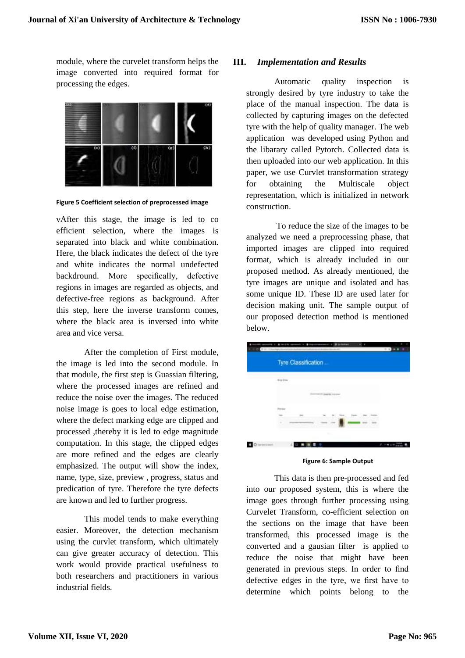module, where the curvelet transform helps the image converted into required format for processing the edges.



**Figure 5 Coefficient selection of preprocessed image**

vAfter this stage, the image is led to co efficient selection, where the images is separated into black and white combination. Here, the black indicates the defect of the tyre and white indicates the normal undefected backdround. More specifically, defective regions in images are regarded as objects, and defective-free regions as background. After this step, here the inverse transform comes, where the black area is inversed into white area and vice versa.

After the completion of First module, the image is led into the second module. In that module, the first step is Guassian filtering, where the processed images are refined and reduce the noise over the images. The reduced noise image is goes to local edge estimation, where the defect marking edge are clipped and processed ,thereby it is led to edge magnitude computation. In this stage, the clipped edges are more refined and the edges are clearly emphasized. The output will show the index, name, type, size, preview , progress, status and predication of tyre. Therefore the tyre defects are known and led to further progress.

This model tends to make everything easier. Moreover, the detection mechanism using the curvlet transform, which ultimately can give greater accuracy of detection. This work would provide practical usefulness to both researchers and practitioners in various industrial fields.

## **III.** *Implementation and Results*

Automatic quality inspection is strongly desired by tyre industry to take the place of the manual inspection. The data is collected by capturing images on the defected tyre with the help of quality manager. The web application was developed using Python and the libarary called Pytorch. Collected data is then uploaded into our web application. In this paper, we use Curvlet transformation strategy for obtaining the Multiscale object representation, which is initialized in network construction.

To reduce the size of the images to be analyzed we need a preprocessing phase, that imported images are clipped into required format, which is already included in our proposed method. As already mentioned, the tyre images are unique and isolated and has some unique ID. These ID are used later for decision making unit. The sample output of our proposed detection method is mentioned below.

| Tyre Classification |
|---------------------|
| $B \oplus 2\pi n$   |
| <b>Witness</b>      |
|                     |
| b                   |
| ×                   |

**Figure 6: Sample Output**

This data is then pre-processed and fed into our proposed system, this is where the image goes through further processing using Curvelet Transform, co-efficient selection on the sections on the image that have been transformed, this processed image is the converted and a gausian filter is applied to reduce the noise that might have been generated in previous steps. In order to find defective edges in the tyre, we first have to determine which points belong to the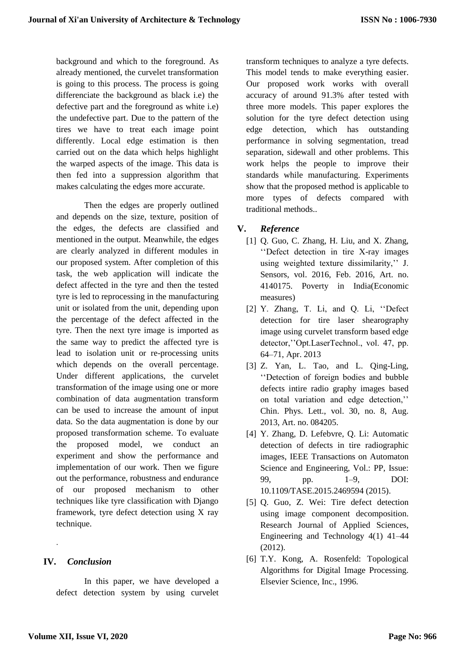background and which to the foreground. As already mentioned, the curvelet transformation is going to this process. The process is going differenciate the background as black i.e) the defective part and the foreground as white i.e) the undefective part. Due to the pattern of the tires we have to treat each image point differently. Local edge estimation is then carried out on the data which helps highlight the warped aspects of the image. This data is then fed into a suppression algorithm that makes calculating the edges more accurate.

Then the edges are properly outlined and depends on the size, texture, position of the edges, the defects are classified and mentioned in the output. Meanwhile, the edges are clearly analyzed in different modules in our proposed system. After completion of this task, the web application will indicate the defect affected in the tyre and then the tested tyre is led to reprocessing in the manufacturing unit or isolated from the unit, depending upon the percentage of the defect affected in the tyre. Then the next tyre image is imported as the same way to predict the affected tyre is lead to isolation unit or re-processing units which depends on the overall percentage. Under different applications, the curvelet transformation of the image using one or more combination of data augmentation transform can be used to increase the amount of input data. So the data augmentation is done by our proposed transformation scheme. To evaluate the proposed model, we conduct an experiment and show the performance and implementation of our work. Then we figure out the performance, robustness and endurance of our proposed mechanism to other techniques like tyre classification with Django framework, tyre defect detection using X ray technique.

# **IV.** *Conclusion*

.

In this paper, we have developed a defect detection system by using curvelet

transform techniques to analyze a tyre defects. This model tends to make everything easier. Our proposed work works with overall accuracy of around 91.3% after tested with three more models. This paper explores the solution for the tyre defect detection using edge detection, which has outstanding performance in solving segmentation, tread separation, sidewall and other problems. This work helps the people to improve their standards while manufacturing. Experiments show that the proposed method is applicable to more types of defects compared with traditional methods..

# **V.** *Reference*

- [1] Q. Guo, C. Zhang, H. Liu, and X. Zhang, ''Defect detection in tire X-ray images using weighted texture dissimilarity,'' J. Sensors, vol. 2016, Feb. 2016, Art. no. 4140175. Poverty in India(Economic measures)
- [2] Y. Zhang, T. Li, and Q. Li, ''Defect detection for tire laser shearography image using curvelet transform based edge detector,''Opt.LaserTechnol., vol. 47, pp. 64–71, Apr. 2013
- [3] Z. Yan, L. Tao, and L. Oing-Ling, ''Detection of foreign bodies and bubble defects intire radio graphy images based on total variation and edge detection,'' Chin. Phys. Lett., vol. 30, no. 8, Aug. 2013, Art. no. 084205.
- [4] Y. Zhang, D. Lefebvre, Q. Li: Automatic detection of defects in tire radiographic images, IEEE Transactions on Automaton Science and Engineering, Vol.: PP, Issue: 99, pp. 1–9, DOI: 10.1109/TASE.2015.2469594 (2015).
- [5] Q. Guo, Z. Wei: Tire defect detection using image component decomposition. Research Journal of Applied Sciences, Engineering and Technology 4(1) 41–44 (2012).
- [6] T.Y. Kong, A. Rosenfeld: Topological Algorithms for Digital Image Processing. Elsevier Science, Inc., 1996.